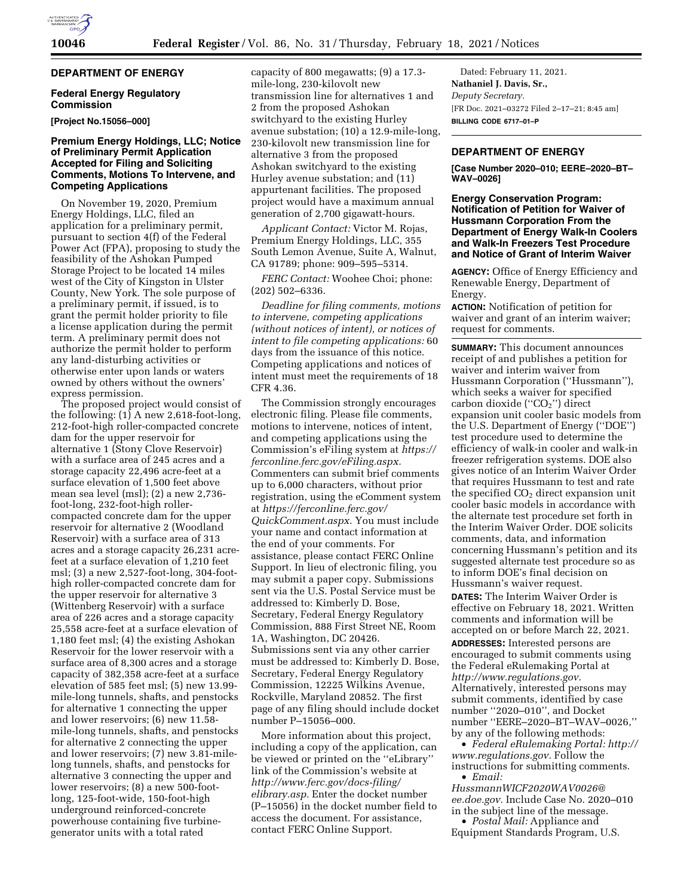## **DEPARTMENT OF ENERGY**

#### **Federal Energy Regulatory Commission**

**[Project No.15056–000]** 

#### **Premium Energy Holdings, LLC; Notice of Preliminary Permit Application Accepted for Filing and Soliciting Comments, Motions To Intervene, and Competing Applications**

On November 19, 2020, Premium Energy Holdings, LLC, filed an application for a preliminary permit, pursuant to section 4(f) of the Federal Power Act (FPA), proposing to study the feasibility of the Ashokan Pumped Storage Project to be located 14 miles west of the City of Kingston in Ulster County, New York. The sole purpose of a preliminary permit, if issued, is to grant the permit holder priority to file a license application during the permit term. A preliminary permit does not authorize the permit holder to perform any land-disturbing activities or otherwise enter upon lands or waters owned by others without the owners' express permission.

The proposed project would consist of the following:  $(1)$  A new 2,618-foot-long, 212-foot-high roller-compacted concrete dam for the upper reservoir for alternative 1 (Stony Clove Reservoir) with a surface area of 245 acres and a storage capacity 22,496 acre-feet at a surface elevation of 1,500 feet above mean sea level (msl); (2) a new 2,736 foot-long, 232-foot-high rollercompacted concrete dam for the upper reservoir for alternative 2 (Woodland Reservoir) with a surface area of 313 acres and a storage capacity 26,231 acrefeet at a surface elevation of 1,210 feet msl; (3) a new 2,527-foot-long, 304-foothigh roller-compacted concrete dam for the upper reservoir for alternative 3 (Wittenberg Reservoir) with a surface area of 226 acres and a storage capacity 25,558 acre-feet at a surface elevation of 1,180 feet msl; (4) the existing Ashokan Reservoir for the lower reservoir with a surface area of 8,300 acres and a storage capacity of 382,358 acre-feet at a surface elevation of 585 feet msl; (5) new 13.99 mile-long tunnels, shafts, and penstocks for alternative 1 connecting the upper and lower reservoirs; (6) new 11.58 mile-long tunnels, shafts, and penstocks for alternative 2 connecting the upper and lower reservoirs; (7) new 3.81-milelong tunnels, shafts, and penstocks for alternative 3 connecting the upper and lower reservoirs; (8) a new 500-footlong, 125-foot-wide, 150-foot-high underground reinforced-concrete powerhouse containing five turbinegenerator units with a total rated

capacity of 800 megawatts; (9) a 17.3 mile-long, 230-kilovolt new transmission line for alternatives 1 and 2 from the proposed Ashokan switchyard to the existing Hurley avenue substation; (10) a 12.9-mile-long, 230-kilovolt new transmission line for alternative 3 from the proposed Ashokan switchyard to the existing Hurley avenue substation; and (11) appurtenant facilities. The proposed project would have a maximum annual generation of 2,700 gigawatt-hours.

*Applicant Contact:* Victor M. Rojas, Premium Energy Holdings, LLC, 355 South Lemon Avenue, Suite A, Walnut, CA 91789; phone: 909–595–5314.

*FERC Contact:* Woohee Choi; phone: (202) 502–6336.

*Deadline for filing comments, motions to intervene, competing applications (without notices of intent), or notices of intent to file competing applications:* 60 days from the issuance of this notice. Competing applications and notices of intent must meet the requirements of 18 CFR 4.36.

The Commission strongly encourages electronic filing. Please file comments, motions to intervene, notices of intent, and competing applications using the Commission's eFiling system at *[https://](https://ferconline.ferc.gov/eFiling.aspx) [ferconline.ferc.gov/eFiling.aspx.](https://ferconline.ferc.gov/eFiling.aspx)*  Commenters can submit brief comments up to 6,000 characters, without prior registration, using the eComment system at *[https://ferconline.ferc.gov/](https://ferconline.ferc.gov/QuickComment.aspx) [QuickComment.aspx.](https://ferconline.ferc.gov/QuickComment.aspx)* You must include your name and contact information at the end of your comments. For assistance, please contact FERC Online Support. In lieu of electronic filing, you may submit a paper copy. Submissions sent via the U.S. Postal Service must be addressed to: Kimberly D. Bose, Secretary, Federal Energy Regulatory Commission, 888 First Street NE, Room 1A, Washington, DC 20426. Submissions sent via any other carrier must be addressed to: Kimberly D. Bose, Secretary, Federal Energy Regulatory Commission, 12225 Wilkins Avenue, Rockville, Maryland 20852. The first page of any filing should include docket number P–15056–000.

More information about this project, including a copy of the application, can be viewed or printed on the ''eLibrary'' link of the Commission's website at *[http://www.ferc.gov/docs-filing/](http://www.ferc.gov/docs-filing/elibrary.asp) [elibrary.asp.](http://www.ferc.gov/docs-filing/elibrary.asp)* Enter the docket number (P–15056) in the docket number field to access the document. For assistance, contact FERC Online Support.

Dated: February 11, 2021. **Nathaniel J. Davis, Sr.,**  *Deputy Secretary.*  [FR Doc. 2021–03272 Filed 2–17–21; 8:45 am] **BILLING CODE 6717–01–P** 

#### **DEPARTMENT OF ENERGY**

**[Case Number 2020–010; EERE–2020–BT– WAV–0026]** 

#### **Energy Conservation Program: Notification of Petition for Waiver of Hussmann Corporation From the Department of Energy Walk-In Coolers and Walk-In Freezers Test Procedure and Notice of Grant of Interim Waiver**

**AGENCY:** Office of Energy Efficiency and Renewable Energy, Department of Energy.

**ACTION:** Notification of petition for waiver and grant of an interim waiver; request for comments.

**SUMMARY:** This document announces receipt of and publishes a petition for waiver and interim waiver from Hussmann Corporation (''Hussmann''), which seeks a waiver for specified carbon dioxide ("CO<sub>2</sub>") direct expansion unit cooler basic models from the U.S. Department of Energy (''DOE'') test procedure used to determine the efficiency of walk-in cooler and walk-in freezer refrigeration systems. DOE also gives notice of an Interim Waiver Order that requires Hussmann to test and rate the specified  $CO<sub>2</sub>$  direct expansion unit cooler basic models in accordance with the alternate test procedure set forth in the Interim Waiver Order. DOE solicits comments, data, and information concerning Hussmann's petition and its suggested alternate test procedure so as to inform DOE's final decision on Hussmann's waiver request. **DATES:** The Interim Waiver Order is effective on February 18, 2021. Written comments and information will be accepted on or before March 22, 2021. **ADDRESSES:** Interested persons are encouraged to submit comments using the Federal eRulemaking Portal at *[http://www.regulations.gov.](http://www.regulations.gov)* 

Alternatively, interested persons may submit comments, identified by case number ''2020–010'', and Docket number ''EERE–2020–BT–WAV–0026,'' by any of the following methods:

• *Federal eRulemaking Portal: [http://](http://www.regulations.gov)  [www.regulations.gov.](http://www.regulations.gov)* Follow the instructions for submitting comments. • *Email:* 

*[HussmannWICF2020WAV0026@](mailto:HussmannWICF2020WAV0026@ee.doe.gov) [ee.doe.gov.](mailto:HussmannWICF2020WAV0026@ee.doe.gov)* Include Case No. 2020–010 in the subject line of the message.

• *Postal Mail:* Appliance and Equipment Standards Program, U.S.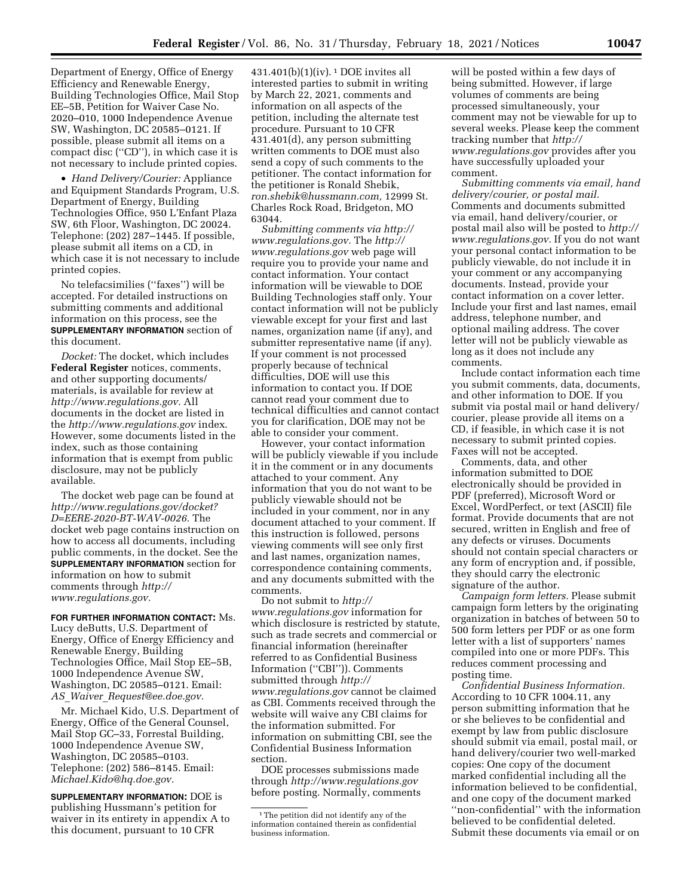Department of Energy, Office of Energy Efficiency and Renewable Energy, Building Technologies Office, Mail Stop EE–5B, Petition for Waiver Case No. 2020–010, 1000 Independence Avenue SW, Washington, DC 20585–0121. If possible, please submit all items on a compact disc (''CD''), in which case it is not necessary to include printed copies.

• *Hand Delivery/Courier:* Appliance and Equipment Standards Program, U.S. Department of Energy, Building Technologies Office, 950 L'Enfant Plaza SW, 6th Floor, Washington, DC 20024. Telephone: (202) 287–1445. If possible, please submit all items on a CD, in which case it is not necessary to include printed copies.

No telefacsimilies (''faxes'') will be accepted. For detailed instructions on submitting comments and additional information on this process, see the **SUPPLEMENTARY INFORMATION** section of this document.

*Docket:* The docket, which includes **Federal Register** notices, comments, and other supporting documents/ materials, is available for review at *[http://www.regulations.gov.](http://www.regulations.gov)* All documents in the docket are listed in the *<http://www.regulations.gov>*index. However, some documents listed in the index, such as those containing information that is exempt from public disclosure, may not be publicly available.

The docket web page can be found at *[http://www.regulations.gov/docket?](http://www.regulations.gov/docket?D=EERE-2020-BT-WAV-0026) [D=EERE-2020-BT-WAV-0026.](http://www.regulations.gov/docket?D=EERE-2020-BT-WAV-0026)* The docket web page contains instruction on how to access all documents, including public comments, in the docket. See the **SUPPLEMENTARY INFORMATION** section for information on how to submit comments through *[http://](http://www.regulations.gov) [www.regulations.gov.](http://www.regulations.gov)* 

**FOR FURTHER INFORMATION CONTACT:** Ms. Lucy deButts, U.S. Department of Energy, Office of Energy Efficiency and Renewable Energy, Building Technologies Office, Mail Stop EE–5B, 1000 Independence Avenue SW, Washington, DC 20585–0121. Email: *AS*\_*Waiver*\_*[Request@ee.doe.gov.](mailto:AS_Waiver_Request@ee.doe.gov)* 

Mr. Michael Kido, U.S. Department of Energy, Office of the General Counsel, Mail Stop GC–33, Forrestal Building, 1000 Independence Avenue SW, Washington, DC 20585–0103. Telephone: (202) 586–8145. Email: *[Michael.Kido@hq.doe.gov.](mailto:Michael.Kido@hq.doe.gov)* 

**SUPPLEMENTARY INFORMATION:** DOE is publishing Hussmann's petition for waiver in its entirety in appendix A to this document, pursuant to 10 CFR

431.401(b)(1)(iv). 1 DOE invites all interested parties to submit in writing by March 22, 2021, comments and information on all aspects of the petition, including the alternate test procedure. Pursuant to 10 CFR 431.401(d), any person submitting written comments to DOE must also send a copy of such comments to the petitioner. The contact information for the petitioner is Ronald Shebik, *[ron.shebik@hussmann.com,](mailto:ron.shebik@hussmann.com)* 12999 St. Charles Rock Road, Bridgeton, MO 63044.

*Submitting comments via [http://](http://www.regulations.gov) [www.regulations.gov.](http://www.regulations.gov)* The *[http://](http://www.regulations.gov) [www.regulations.gov](http://www.regulations.gov)* web page will require you to provide your name and contact information. Your contact information will be viewable to DOE Building Technologies staff only. Your contact information will not be publicly viewable except for your first and last names, organization name (if any), and submitter representative name (if any). If your comment is not processed properly because of technical difficulties, DOE will use this information to contact you. If DOE cannot read your comment due to technical difficulties and cannot contact you for clarification, DOE may not be able to consider your comment.

However, your contact information will be publicly viewable if you include it in the comment or in any documents attached to your comment. Any information that you do not want to be publicly viewable should not be included in your comment, nor in any document attached to your comment. If this instruction is followed, persons viewing comments will see only first and last names, organization names, correspondence containing comments, and any documents submitted with the comments.

Do not submit to *[http://](http://www.regulations.gov) [www.regulations.gov](http://www.regulations.gov)* information for which disclosure is restricted by statute, such as trade secrets and commercial or financial information (hereinafter referred to as Confidential Business Information (''CBI'')). Comments submitted through *[http://](http://www.regulations.gov) [www.regulations.gov](http://www.regulations.gov)* cannot be claimed as CBI. Comments received through the website will waive any CBI claims for the information submitted. For information on submitting CBI, see the Confidential Business Information section.

DOE processes submissions made through *<http://www.regulations.gov>*  before posting. Normally, comments

will be posted within a few days of being submitted. However, if large volumes of comments are being processed simultaneously, your comment may not be viewable for up to several weeks. Please keep the comment tracking number that *[http://](http://www.regulations.gov) [www.regulations.gov](http://www.regulations.gov)* provides after you have successfully uploaded your comment.

*Submitting comments via email, hand delivery/courier, or postal mail.*  Comments and documents submitted via email, hand delivery/courier, or postal mail also will be posted to *[http://](http://www.regulations.gov) [www.regulations.gov.](http://www.regulations.gov)* If you do not want your personal contact information to be publicly viewable, do not include it in your comment or any accompanying documents. Instead, provide your contact information on a cover letter. Include your first and last names, email address, telephone number, and optional mailing address. The cover letter will not be publicly viewable as long as it does not include any comments.

Include contact information each time you submit comments, data, documents, and other information to DOE. If you submit via postal mail or hand delivery/ courier, please provide all items on a CD, if feasible, in which case it is not necessary to submit printed copies. Faxes will not be accepted.

Comments, data, and other information submitted to DOE electronically should be provided in PDF (preferred), Microsoft Word or Excel, WordPerfect, or text (ASCII) file format. Provide documents that are not secured, written in English and free of any defects or viruses. Documents should not contain special characters or any form of encryption and, if possible, they should carry the electronic signature of the author.

*Campaign form letters.* Please submit campaign form letters by the originating organization in batches of between 50 to 500 form letters per PDF or as one form letter with a list of supporters' names compiled into one or more PDFs. This reduces comment processing and posting time.

*Confidential Business Information.*  According to 10 CFR 1004.11, any person submitting information that he or she believes to be confidential and exempt by law from public disclosure should submit via email, postal mail, or hand delivery/courier two well-marked copies: One copy of the document marked confidential including all the information believed to be confidential, and one copy of the document marked ''non-confidential'' with the information believed to be confidential deleted. Submit these documents via email or on

<sup>&</sup>lt;sup>1</sup>The petition did not identify any of the information contained therein as confidential business information.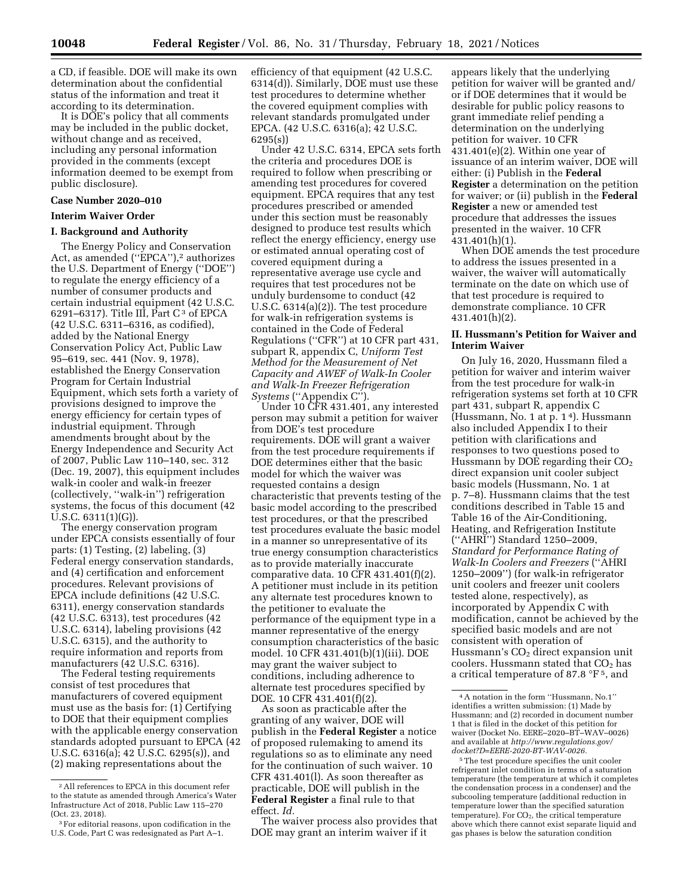a CD, if feasible. DOE will make its own determination about the confidential status of the information and treat it according to its determination.

It is DOE's policy that all comments may be included in the public docket, without change and as received, including any personal information provided in the comments (except information deemed to be exempt from public disclosure).

#### **Case Number 2020–010**

#### **Interim Waiver Order**

#### **I. Background and Authority**

The Energy Policy and Conservation Act, as amended ("EPCA"),<sup>2</sup> authorizes the U.S. Department of Energy (''DOE'') to regulate the energy efficiency of a number of consumer products and certain industrial equipment (42 U.S.C. 6291–6317). Title III, Part  $C^3$  of EPCA (42 U.S.C. 6311–6316, as codified), added by the National Energy Conservation Policy Act, Public Law 95–619, sec. 441 (Nov. 9, 1978), established the Energy Conservation Program for Certain Industrial Equipment, which sets forth a variety of provisions designed to improve the energy efficiency for certain types of industrial equipment. Through amendments brought about by the Energy Independence and Security Act of 2007, Public Law 110–140, sec. 312 (Dec. 19, 2007), this equipment includes walk-in cooler and walk-in freezer (collectively, ''walk-in'') refrigeration systems, the focus of this document (42 U.S.C. 6311(1)(G)).

The energy conservation program under EPCA consists essentially of four parts: (1) Testing, (2) labeling, (3) Federal energy conservation standards, and (4) certification and enforcement procedures. Relevant provisions of EPCA include definitions (42 U.S.C. 6311), energy conservation standards (42 U.S.C. 6313), test procedures (42 U.S.C. 6314), labeling provisions (42 U.S.C. 6315), and the authority to require information and reports from manufacturers (42 U.S.C. 6316).

The Federal testing requirements consist of test procedures that manufacturers of covered equipment must use as the basis for: (1) Certifying to DOE that their equipment complies with the applicable energy conservation standards adopted pursuant to EPCA (42 U.S.C. 6316(a); 42 U.S.C. 6295(s)), and (2) making representations about the

efficiency of that equipment (42 U.S.C. 6314(d)). Similarly, DOE must use these test procedures to determine whether the covered equipment complies with relevant standards promulgated under EPCA. (42 U.S.C. 6316(a); 42 U.S.C. 6295(s))

Under 42 U.S.C. 6314, EPCA sets forth the criteria and procedures DOE is required to follow when prescribing or amending test procedures for covered equipment. EPCA requires that any test procedures prescribed or amended under this section must be reasonably designed to produce test results which reflect the energy efficiency, energy use or estimated annual operating cost of covered equipment during a representative average use cycle and requires that test procedures not be unduly burdensome to conduct (42 U.S.C. 6314(a)(2)). The test procedure for walk-in refrigeration systems is contained in the Code of Federal Regulations (''CFR'') at 10 CFR part 431, subpart R, appendix C, *Uniform Test Method for the Measurement of Net Capacity and AWEF of Walk-In Cooler and Walk-In Freezer Refrigeration Systems* (''Appendix C'').

Under 10 CFR 431.401, any interested person may submit a petition for waiver from DOE's test procedure requirements. DOE will grant a waiver from the test procedure requirements if DOE determines either that the basic model for which the waiver was requested contains a design characteristic that prevents testing of the basic model according to the prescribed test procedures, or that the prescribed test procedures evaluate the basic model in a manner so unrepresentative of its true energy consumption characteristics as to provide materially inaccurate comparative data. 10 CFR 431.401(f)(2). A petitioner must include in its petition any alternate test procedures known to the petitioner to evaluate the performance of the equipment type in a manner representative of the energy consumption characteristics of the basic model. 10 CFR 431.401(b)(1)(iii). DOE may grant the waiver subject to conditions, including adherence to alternate test procedures specified by DOE. 10 CFR 431.401(f)(2).

As soon as practicable after the granting of any waiver, DOE will publish in the **Federal Register** a notice of proposed rulemaking to amend its regulations so as to eliminate any need for the continuation of such waiver. 10 CFR 431.401(l). As soon thereafter as practicable, DOE will publish in the **Federal Register** a final rule to that effect. *Id.* 

The waiver process also provides that DOE may grant an interim waiver if it

appears likely that the underlying petition for waiver will be granted and/ or if DOE determines that it would be desirable for public policy reasons to grant immediate relief pending a determination on the underlying petition for waiver. 10 CFR 431.401(e)(2). Within one year of issuance of an interim waiver, DOE will either: (i) Publish in the **Federal Register** a determination on the petition for waiver; or (ii) publish in the **Federal Register** a new or amended test procedure that addresses the issues presented in the waiver. 10 CFR 431.401(h)(1).

When DOE amends the test procedure to address the issues presented in a waiver, the waiver will automatically terminate on the date on which use of that test procedure is required to demonstrate compliance. 10 CFR 431.401(h)(2).

#### **II. Hussmann's Petition for Waiver and Interim Waiver**

On July 16, 2020, Hussmann filed a petition for waiver and interim waiver from the test procedure for walk-in refrigeration systems set forth at 10 CFR part 431, subpart R, appendix C (Hussmann, No. 1 at p. 1 4). Hussmann also included Appendix I to their petition with clarifications and responses to two questions posed to Hussmann by DOE regarding their  $CO<sub>2</sub>$ direct expansion unit cooler subject basic models (Hussmann, No. 1 at p. 7–8). Hussmann claims that the test conditions described in Table 15 and Table 16 of the Air-Conditioning, Heating, and Refrigeration Institute (''AHRI'') Standard 1250–2009, *Standard for Performance Rating of Walk-In Coolers and Freezers* (''AHRI 1250–2009'') (for walk-in refrigerator unit coolers and freezer unit coolers tested alone, respectively), as incorporated by Appendix C with modification, cannot be achieved by the specified basic models and are not consistent with operation of Hussmann's  $CO<sub>2</sub>$  direct expansion unit coolers. Hussmann stated that  $CO<sub>2</sub>$  has a critical temperature of 87.8 °F 5, and

<sup>2</sup>All references to EPCA in this document refer to the statute as amended through America's Water Infrastructure Act of 2018, Public Law 115–270 (Oct. 23, 2018).

<sup>3</sup>For editorial reasons, upon codification in the U.S. Code, Part C was redesignated as Part A–1.

<sup>4</sup>A notation in the form ''Hussmann, No.1'' identifies a written submission: (1) Made by Hussmann; and (2) recorded in document number 1 that is filed in the docket of this petition for waiver (Docket No. EERE–2020–BT–WAV–0026) and available at *[http://www.regulations.gov/](http://www.regulations.gov/docket?D=EERE-2020-BT-WAV-0026)  [docket?D=EERE-2020-BT-WAV-0026.](http://www.regulations.gov/docket?D=EERE-2020-BT-WAV-0026)* 

<sup>5</sup>The test procedure specifies the unit cooler refrigerant inlet condition in terms of a saturation temperature (the temperature at which it completes the condensation process in a condenser) and the subcooling temperature (additional reduction in temperature lower than the specified saturation  $t$ emperature). For  $CO<sub>2</sub>$ , the critical temperature above which there cannot exist separate liquid and gas phases is below the saturation condition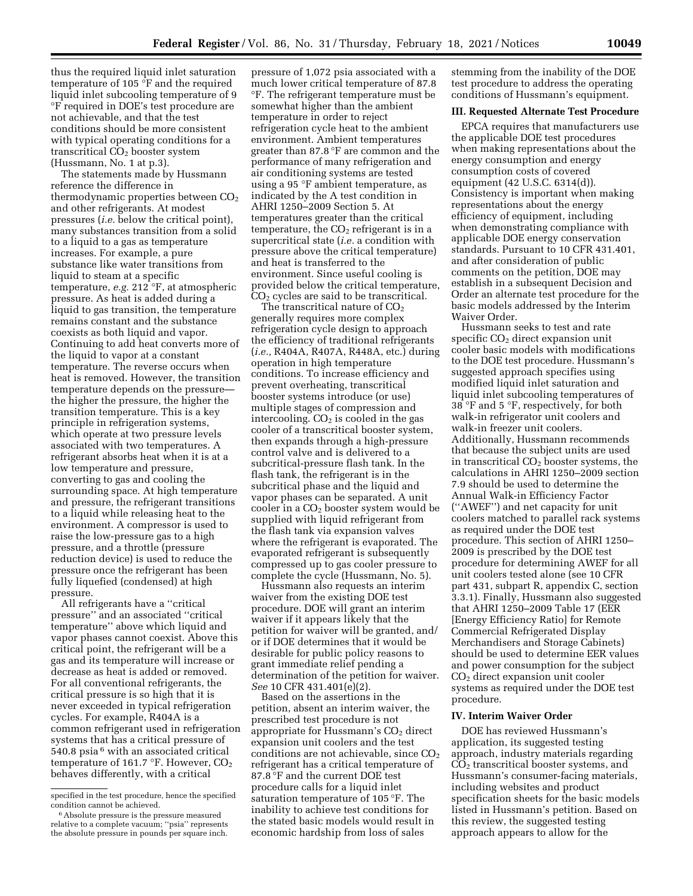thus the required liquid inlet saturation temperature of 105 °F and the required liquid inlet subcooling temperature of 9 °F required in DOE's test procedure are not achievable, and that the test conditions should be more consistent with typical operating conditions for a transcritical  $CO<sub>2</sub>$  booster system (Hussmann, No. 1 at p.3).

The statements made by Hussmann reference the difference in thermodynamic properties between  $CO<sub>2</sub>$ and other refrigerants. At modest pressures (*i.e.* below the critical point), many substances transition from a solid to a liquid to a gas as temperature increases. For example, a pure substance like water transitions from liquid to steam at a specific temperature, *e.g.* 212 °F, at atmospheric pressure. As heat is added during a liquid to gas transition, the temperature remains constant and the substance coexists as both liquid and vapor. Continuing to add heat converts more of the liquid to vapor at a constant temperature. The reverse occurs when heat is removed. However, the transition temperature depends on the pressure the higher the pressure, the higher the transition temperature. This is a key principle in refrigeration systems, which operate at two pressure levels associated with two temperatures. A refrigerant absorbs heat when it is at a low temperature and pressure, converting to gas and cooling the surrounding space. At high temperature and pressure, the refrigerant transitions to a liquid while releasing heat to the environment. A compressor is used to raise the low-pressure gas to a high pressure, and a throttle (pressure reduction device) is used to reduce the pressure once the refrigerant has been fully liquefied (condensed) at high pressure.

All refrigerants have a ''critical pressure'' and an associated ''critical temperature'' above which liquid and vapor phases cannot coexist. Above this critical point, the refrigerant will be a gas and its temperature will increase or decrease as heat is added or removed. For all conventional refrigerants, the critical pressure is so high that it is never exceeded in typical refrigeration cycles. For example, R404A is a common refrigerant used in refrigeration systems that has a critical pressure of 540.8 psia 6 with an associated critical temperature of 161.7 °F. However, CO<sub>2</sub> behaves differently, with a critical

pressure of 1,072 psia associated with a much lower critical temperature of 87.8 °F. The refrigerant temperature must be somewhat higher than the ambient temperature in order to reject refrigeration cycle heat to the ambient environment. Ambient temperatures greater than 87.8 °F are common and the performance of many refrigeration and air conditioning systems are tested using a 95 °F ambient temperature, as indicated by the A test condition in AHRI 1250–2009 Section 5. At temperatures greater than the critical temperature, the  $CO<sub>2</sub>$  refrigerant is in a supercritical state (*i.e.* a condition with pressure above the critical temperature) and heat is transferred to the environment. Since useful cooling is provided below the critical temperature, CO2 cycles are said to be transcritical.

The transcritical nature of  $CO<sub>2</sub>$ generally requires more complex refrigeration cycle design to approach the efficiency of traditional refrigerants (*i.e.,* R404A, R407A, R448A, etc.) during operation in high temperature conditions. To increase efficiency and prevent overheating, transcritical booster systems introduce (or use) multiple stages of compression and intercooling.  $CO<sub>2</sub>$  is cooled in the gas cooler of a transcritical booster system, then expands through a high-pressure control valve and is delivered to a subcritical-pressure flash tank. In the flash tank, the refrigerant is in the subcritical phase and the liquid and vapor phases can be separated. A unit cooler in a CO2 booster system would be supplied with liquid refrigerant from the flash tank via expansion valves where the refrigerant is evaporated. The evaporated refrigerant is subsequently compressed up to gas cooler pressure to complete the cycle (Hussmann, No. 5).

Hussmann also requests an interim waiver from the existing DOE test procedure. DOE will grant an interim waiver if it appears likely that the petition for waiver will be granted, and/ or if DOE determines that it would be desirable for public policy reasons to grant immediate relief pending a determination of the petition for waiver. *See* 10 CFR 431.401(e)(2).

Based on the assertions in the petition, absent an interim waiver, the prescribed test procedure is not appropriate for Hussmann's  $CO<sub>2</sub>$  direct expansion unit coolers and the test conditions are not achievable, since  $CO<sub>2</sub>$ refrigerant has a critical temperature of 87.8 °F and the current DOE test procedure calls for a liquid inlet saturation temperature of 105 °F. The inability to achieve test conditions for the stated basic models would result in economic hardship from loss of sales

stemming from the inability of the DOE test procedure to address the operating conditions of Hussmann's equipment.

#### **III. Requested Alternate Test Procedure**

EPCA requires that manufacturers use the applicable DOE test procedures when making representations about the energy consumption and energy consumption costs of covered equipment (42 U.S.C. 6314(d)). Consistency is important when making representations about the energy efficiency of equipment, including when demonstrating compliance with applicable DOE energy conservation standards. Pursuant to 10 CFR 431.401, and after consideration of public comments on the petition, DOE may establish in a subsequent Decision and Order an alternate test procedure for the basic models addressed by the Interim Waiver Order.

Hussmann seeks to test and rate specific CO<sub>2</sub> direct expansion unit cooler basic models with modifications to the DOE test procedure. Hussmann's suggested approach specifies using modified liquid inlet saturation and liquid inlet subcooling temperatures of 38 °F and 5 °F, respectively, for both walk-in refrigerator unit coolers and walk-in freezer unit coolers. Additionally, Hussmann recommends that because the subject units are used in transcritical  $CO<sub>2</sub>$  booster systems, the calculations in AHRI 1250–2009 section 7.9 should be used to determine the Annual Walk-in Efficiency Factor (''AWEF'') and net capacity for unit coolers matched to parallel rack systems as required under the DOE test procedure. This section of AHRI 1250– 2009 is prescribed by the DOE test procedure for determining AWEF for all unit coolers tested alone (see 10 CFR part 431, subpart R, appendix C, section 3.3.1). Finally, Hussmann also suggested that AHRI 1250–2009 Table 17 (EER [Energy Efficiency Ratio] for Remote Commercial Refrigerated Display Merchandisers and Storage Cabinets) should be used to determine EER values and power consumption for the subject CO2 direct expansion unit cooler systems as required under the DOE test procedure.

#### **IV. Interim Waiver Order**

DOE has reviewed Hussmann's application, its suggested testing approach, industry materials regarding CO2 transcritical booster systems, and Hussmann's consumer-facing materials, including websites and product specification sheets for the basic models listed in Hussmann's petition. Based on this review, the suggested testing approach appears to allow for the

specified in the test procedure, hence the specified condition cannot be achieved.

<sup>6</sup>Absolute pressure is the pressure measured relative to a complete vacuum; ''psia'' represents the absolute pressure in pounds per square inch.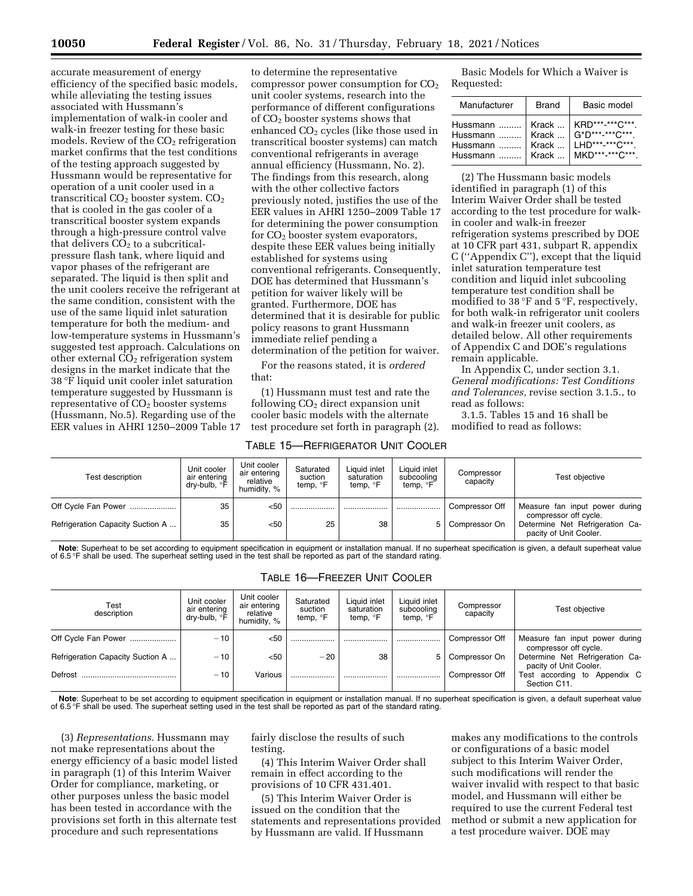accurate measurement of energy efficiency of the specified basic models, while alleviating the testing issues associated with Hussmann's implementation of walk-in cooler and walk-in freezer testing for these basic models. Review of the CO<sub>2</sub> refrigeration market confirms that the test conditions of the testing approach suggested by Hussmann would be representative for operation of a unit cooler used in a transcritical  $CO<sub>2</sub>$  booster system.  $CO<sub>2</sub>$ that is cooled in the gas cooler of a transcritical booster system expands through a high-pressure control valve that delivers  $CO<sub>2</sub>$  to a subcriticalpressure flash tank, where liquid and vapor phases of the refrigerant are separated. The liquid is then split and the unit coolers receive the refrigerant at the same condition, consistent with the use of the same liquid inlet saturation temperature for both the medium- and low-temperature systems in Hussmann's suggested test approach. Calculations on other external CO<sub>2</sub> refrigeration system designs in the market indicate that the 38 °F liquid unit cooler inlet saturation temperature suggested by Hussmann is representative of  $CO<sub>2</sub>$  booster systems (Hussmann, No.5). Regarding use of the EER values in AHRI 1250–2009 Table 17

to determine the representative compressor power consumption for  $CO<sub>2</sub>$ unit cooler systems, research into the performance of different configurations of CO2 booster systems shows that enhanced  $CO<sub>2</sub>$  cycles (like those used in transcritical booster systems) can match conventional refrigerants in average annual efficiency (Hussmann, No. 2). The findings from this research, along with the other collective factors previously noted, justifies the use of the EER values in AHRI 1250–2009 Table 17 for determining the power consumption for CO<sub>2</sub> booster system evaporators, despite these EER values being initially established for systems using conventional refrigerants. Consequently, DOE has determined that Hussmann's petition for waiver likely will be granted. Furthermore, DOE has determined that it is desirable for public policy reasons to grant Hussmann immediate relief pending a determination of the petition for waiver.

For the reasons stated, it is *ordered*  that:

(1) Hussmann must test and rate the following  $CO<sub>2</sub>$  direct expansion unit cooler basic models with the alternate test procedure set forth in paragraph (2).

#### TABLE 15—REFRIGERATOR UNIT COOLER

Basic Models for Which a Waiver is Requested:

| Manufacturer | <b>Brand</b> | Basic model            |  |  |
|--------------|--------------|------------------------|--|--|
| Hussmann     | Krack        | KRD***-***C***         |  |  |
| Hussmann     | Krack        | $G^*D^{***.**}C^{***}$ |  |  |
| Hussmann     | Krack        | LHD***_***C***         |  |  |
| Hussmann     | Krack        | MKD*** ***C***         |  |  |

(2) The Hussmann basic models identified in paragraph (1) of this Interim Waiver Order shall be tested according to the test procedure for walkin cooler and walk-in freezer refrigeration systems prescribed by DOE at 10 CFR part 431, subpart R, appendix C (''Appendix C''), except that the liquid inlet saturation temperature test condition and liquid inlet subcooling temperature test condition shall be modified to 38 °F and 5 °F, respectively, for both walk-in refrigerator unit coolers and walk-in freezer unit coolers, as detailed below. All other requirements of Appendix C and DOE's regulations remain applicable.

In Appendix C, under section 3.1. *General modifications: Test Conditions and Tolerances,* revise section 3.1.5., to read as follows:

3.1.5. Tables 15 and 16 shall be modified to read as follows:

| Test description                 | Unit cooler<br>air entering<br>drv-bulb. °F | Unit cooler<br>air entering<br>relative<br>humidity, % | Saturated<br>suction<br>temp, $\degree$ F | Liquid inlet<br>saturation<br>temp, <sup>o</sup> F | Liquid inlet<br>subcooling<br>temp, °F | Compressor<br>capacity | Test objective                                            |
|----------------------------------|---------------------------------------------|--------------------------------------------------------|-------------------------------------------|----------------------------------------------------|----------------------------------------|------------------------|-----------------------------------------------------------|
| Off Cycle Fan Power              | 35                                          | $50$                                                   |                                           |                                                    |                                        | Compressor Off         | Measure fan input power during<br>compressor off cycle.   |
| Refrigeration Capacity Suction A | 35                                          | $50$                                                   | 25                                        | 38                                                 |                                        | Compressor On          | Determine Net Refrigeration Ca-<br>pacity of Unit Cooler. |

**Note**: Superheat to be set according to equipment specification in equipment or installation manual. If no superheat specification is given, a default superheat value of 6.5 °F shall be used. The superheat setting used in the test shall be reported as part of the standard rating.

TABLE 16—FREEZER UNIT COOLER

| Test<br>description              | Unit cooler<br>air entering<br>drv-bulb. <b>F</b> | Unit cooler<br>air entering<br>relative<br>humidity, % | Saturated<br>suction<br>temp, °F | Liquid inlet<br>saturation<br>temp, <sup>o</sup> F | Liquid inlet<br>subcooling<br>temp, °F | Compressor<br>capacity | Test objective                                            |
|----------------------------------|---------------------------------------------------|--------------------------------------------------------|----------------------------------|----------------------------------------------------|----------------------------------------|------------------------|-----------------------------------------------------------|
| Off Cycle Fan Power              | $-10$                                             | $50$                                                   |                                  |                                                    |                                        | Compressor Off         | Measure fan input power during<br>compressor off cycle.   |
| Refrigeration Capacity Suction A | $-10$                                             | < 50                                                   | $-20$                            | 38                                                 | 5 <sup>1</sup>                         | Compressor On          | Determine Net Refrigeration Ca-<br>pacity of Unit Cooler. |
| Defrost                          | $-10$                                             | Various                                                |                                  |                                                    |                                        | Compressor Off         | Test according to Appendix C<br>Section C11.              |

**Note**: Superheat to be set according to equipment specification in equipment or installation manual. If no superheat specification is given, a default superheat value of 6.5 °F shall be used. The superheat setting used in the test shall be reported as part of the standard rating.

(3) *Representations.* Hussmann may not make representations about the energy efficiency of a basic model listed in paragraph (1) of this Interim Waiver Order for compliance, marketing, or other purposes unless the basic model has been tested in accordance with the provisions set forth in this alternate test procedure and such representations

fairly disclose the results of such testing.

(4) This Interim Waiver Order shall remain in effect according to the provisions of 10 CFR 431.401.

(5) This Interim Waiver Order is issued on the condition that the statements and representations provided by Hussmann are valid. If Hussmann

makes any modifications to the controls or configurations of a basic model subject to this Interim Waiver Order, such modifications will render the waiver invalid with respect to that basic model, and Hussmann will either be required to use the current Federal test method or submit a new application for a test procedure waiver. DOE may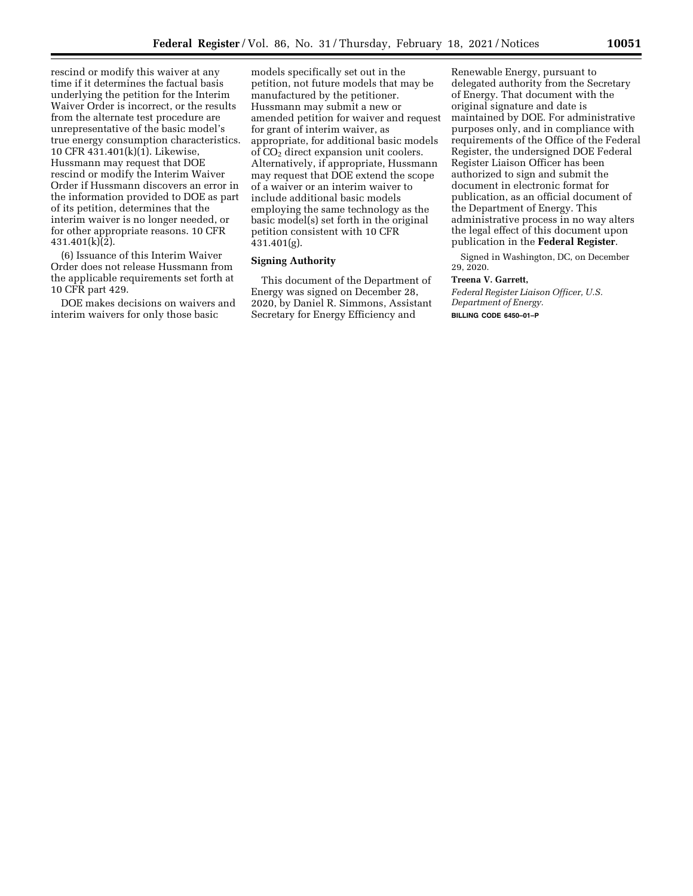rescind or modify this waiver at any time if it determines the factual basis underlying the petition for the Interim Waiver Order is incorrect, or the results from the alternate test procedure are unrepresentative of the basic model's true energy consumption characteristics. 10 CFR 431.401(k)(1). Likewise, Hussmann may request that DOE rescind or modify the Interim Waiver Order if Hussmann discovers an error in the information provided to DOE as part of its petition, determines that the interim waiver is no longer needed, or for other appropriate reasons. 10 CFR 431.401(k)(2).

(6) Issuance of this Interim Waiver Order does not release Hussmann from the applicable requirements set forth at 10 CFR part 429.

DOE makes decisions on waivers and interim waivers for only those basic

models specifically set out in the petition, not future models that may be manufactured by the petitioner. Hussmann may submit a new or amended petition for waiver and request for grant of interim waiver, as appropriate, for additional basic models of CO<sub>2</sub> direct expansion unit coolers. Alternatively, if appropriate, Hussmann may request that DOE extend the scope of a waiver or an interim waiver to include additional basic models employing the same technology as the basic model(s) set forth in the original petition consistent with 10 CFR 431.401(g).

## **Signing Authority**

This document of the Department of Energy was signed on December 28, 2020, by Daniel R. Simmons, Assistant Secretary for Energy Efficiency and

Renewable Energy, pursuant to delegated authority from the Secretary of Energy. That document with the original signature and date is maintained by DOE. For administrative purposes only, and in compliance with requirements of the Office of the Federal Register, the undersigned DOE Federal Register Liaison Officer has been authorized to sign and submit the document in electronic format for publication, as an official document of the Department of Energy. This administrative process in no way alters the legal effect of this document upon publication in the **Federal Register**.

Signed in Washington, DC, on December 29, 2020.

#### **Treena V. Garrett,**

*Federal Register Liaison Officer, U.S. Department of Energy.*  **BILLING CODE 6450–01–P**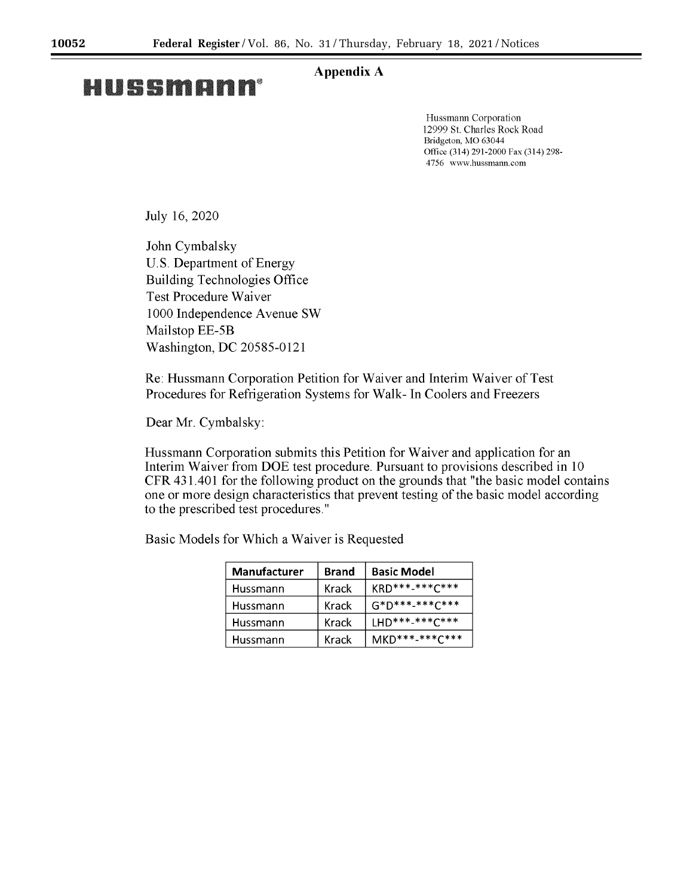# **Appendix A**

# HUSSMANN®

Hussmann Corporation 12999 St. Charles Rock Road Bridgeton, MO 63044 Office (314) 291-2000 Fax (314) 298-4756 www.hussmann.com

July 16, 2020

John Cymbalsky U.S. Department of Energy **Building Technologies Office** Test Procedure Waiver 1000 Independence Avenue SW Mailstop EE-5B Washington, DC 20585-0121

Re: Hussmann Corporation Petition for Waiver and Interim Waiver of Test Procedures for Refrigeration Systems for Walk- In Coolers and Freezers

Dear Mr. Cymbalsky:

Hussmann Corporation submits this Petition for Waiver and application for an Interim Waiver from DOE test procedure. Pursuant to provisions described in 10 CFR 431.401 for the following product on the grounds that "the basic model contains" one or more design characteristics that prevent testing of the basic model according to the prescribed test procedures."

Basic Models for Which a Waiver is Requested

| <b>Manufacturer</b> | <b>Brand</b> | <b>Basic Model</b>         |
|---------------------|--------------|----------------------------|
| Hussmann            | Krack        | $K$ RD ***-*** $C$ ***     |
| Hussmann            | Krack        | $G*D******C***$            |
| Hussmann            | Krack        | $1HD***-****C***$          |
| Hussmann            | Krack        | MKD*** <sub>****C***</sub> |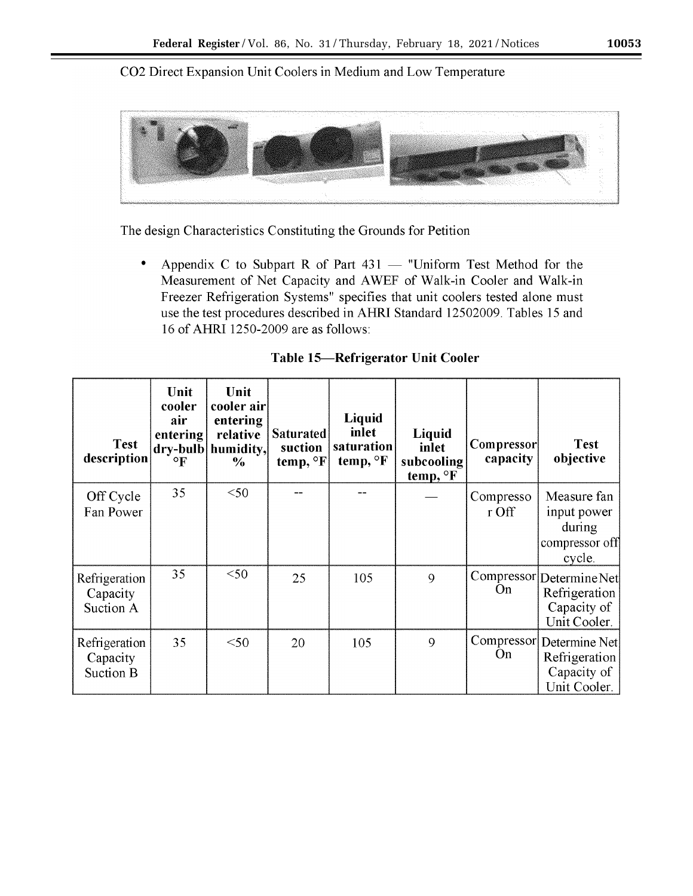CO2 Direct Expansion Unit Coolers in Medium and Low Temperature



The design Characteristics Constituting the Grounds for Petition

 $\bullet$ Appendix C to Subpart R of Part  $431 -$  "Uniform Test Method for the Measurement of Net Capacity and AWEF of Walk-in Cooler and Walk-in Freezer Refrigeration Systems" specifies that unit coolers tested alone must use the test procedures described in AHRI Standard 12502009. Tables 15 and 16 of AHRI 1250-2009 are as follows:

|  |  |  | Table 15—Refrigerator Unit Cooler |  |  |
|--|--|--|-----------------------------------|--|--|
|--|--|--|-----------------------------------|--|--|

| <b>Test</b><br>description             | Unit<br>cooler<br>air<br>entering<br>$\circ$ F | Unit<br>cooler air<br>entering<br>relative<br>dry-bulb humidity,<br>$\%$ | <b>Saturated</b><br>suction<br>temp, $\mathrm{P}$ F | Liquid<br>inlet<br>saturation<br>temp, $\mathrm{^{\circ}F}$ | Liquid<br>inlet<br>subcooling<br>temp, <sup>o</sup> F | <b>Compressor</b><br>capacity | <b>Test</b><br>objective                                                 |
|----------------------------------------|------------------------------------------------|--------------------------------------------------------------------------|-----------------------------------------------------|-------------------------------------------------------------|-------------------------------------------------------|-------------------------------|--------------------------------------------------------------------------|
| Off Cycle<br>Fan Power                 | 35                                             | $50$                                                                     |                                                     |                                                             |                                                       | Compresso<br>r Off            | Measure fan<br>input power<br>during<br>compressor off<br>cycle.         |
| Refrigeration<br>Capacity<br>Suction A | 35                                             | $50$                                                                     | 25                                                  | 105                                                         | 9                                                     | <b>On</b>                     | Compressor Determine Net<br>Refrigeration<br>Capacity of<br>Unit Cooler. |
| Refrigeration<br>Capacity<br>Suction B | 35                                             | $<$ 50                                                                   | 20                                                  | 105                                                         | 9                                                     | On                            | Compressor Determine Net<br>Refrigeration<br>Capacity of<br>Unit Cooler. |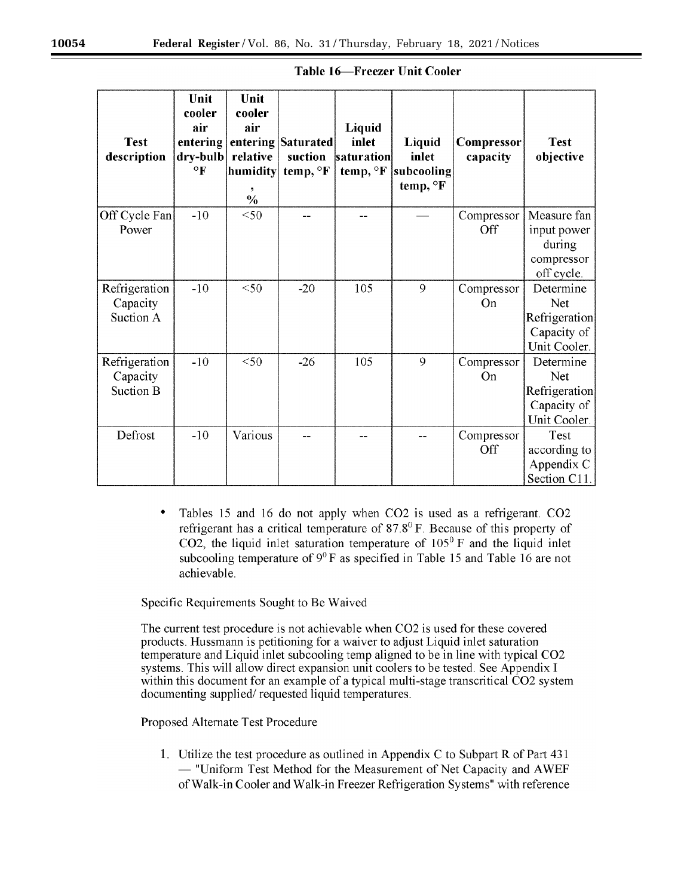|                            | Unit<br>cooler       | Unit<br>cooler |                               |                      |                     |                        |                          |
|----------------------------|----------------------|----------------|-------------------------------|----------------------|---------------------|------------------------|--------------------------|
|                            | air                  | air            |                               | Liquid               |                     |                        |                          |
| <b>Test</b><br>description | entering<br>dry-bulb | relative       | entering Saturated<br>suction | inlet<br>saturation  | Liquid<br>inlet     | Compressor<br>capacity | <b>Test</b><br>objective |
|                            | $\circ$ F            | humidity       | temp, <sup>o</sup> F          | temp, <sup>o</sup> F | subcooling          |                        |                          |
|                            |                      |                |                               |                      | temp, $\mathrm{P}F$ |                        |                          |
|                            |                      | $\frac{0}{0}$  |                               |                      |                     |                        |                          |
| Off Cycle Fan              | $-10$                | $50$           |                               |                      |                     | Compressor             | Measure fan              |
| Power                      |                      |                |                               |                      |                     | Off                    | input power              |
|                            |                      |                |                               |                      |                     |                        | during                   |
|                            |                      |                |                               |                      |                     |                        | compressor<br>off cycle. |
| Refrigeration              | $-10$                | $<$ 50         | $-20$                         | 105                  | 9                   | Compressor             | Determine                |
| Capacity                   |                      |                |                               |                      |                     | On                     | <b>Net</b>               |
| Suction A                  |                      |                |                               |                      |                     |                        | Refrigeration            |
|                            |                      |                |                               |                      |                     |                        | Capacity of              |
|                            |                      |                |                               |                      |                     |                        | Unit Cooler.             |
| Refrigeration              | $-10$                | $<$ 50         | $-26$                         | 105                  | 9                   | Compressor             | Determine                |
| Capacity                   |                      |                |                               |                      |                     | On                     | Net                      |
| Suction B                  |                      |                |                               |                      |                     |                        | Refrigeration            |
|                            |                      |                |                               |                      |                     |                        | Capacity of              |
| Defrost                    | $-10$                | Various        |                               |                      |                     |                        | Unit Cooler.<br>Test     |
|                            |                      |                |                               |                      |                     | Compressor<br>Off      | according to             |
|                            |                      |                |                               |                      |                     |                        | Appendix C               |
|                            |                      |                |                               |                      |                     |                        | Section C11.             |

| <b>Table 16—Freezer Unit Cooler</b> |  |
|-------------------------------------|--|
|-------------------------------------|--|

Tables 15 and 16 do not apply when CO2 is used as a refrigerant. CO2  $\bullet$ refrigerant has a critical temperature of  $87.8^{\circ}$  F. Because of this property of CO2, the liquid inlet saturation temperature of  $105^{\circ}$  F and the liquid inlet subcooling temperature of  $9^0$  F as specified in Table 15 and Table 16 are not achievable.

Specific Requirements Sought to Be Waived

The current test procedure is not achievable when CO2 is used for these covered products. Hussmann is petitioning for a waiver to adjust Liquid inlet saturation temperature and Liquid inlet subcooling temp aligned to be in line with typical CO2 systems. This will allow direct expansion unit coolers to be tested. See Appendix I within this document for an example of a typical multi-stage transcritical CO2 system documenting supplied/requested liquid temperatures.

Proposed Alternate Test Procedure

1. Utilize the test procedure as outlined in Appendix C to Subpart R of Part 431 - "Uniform Test Method for the Measurement of Net Capacity and AWEF of Walk-in Cooler and Walk-in Freezer Refrigeration Systems" with reference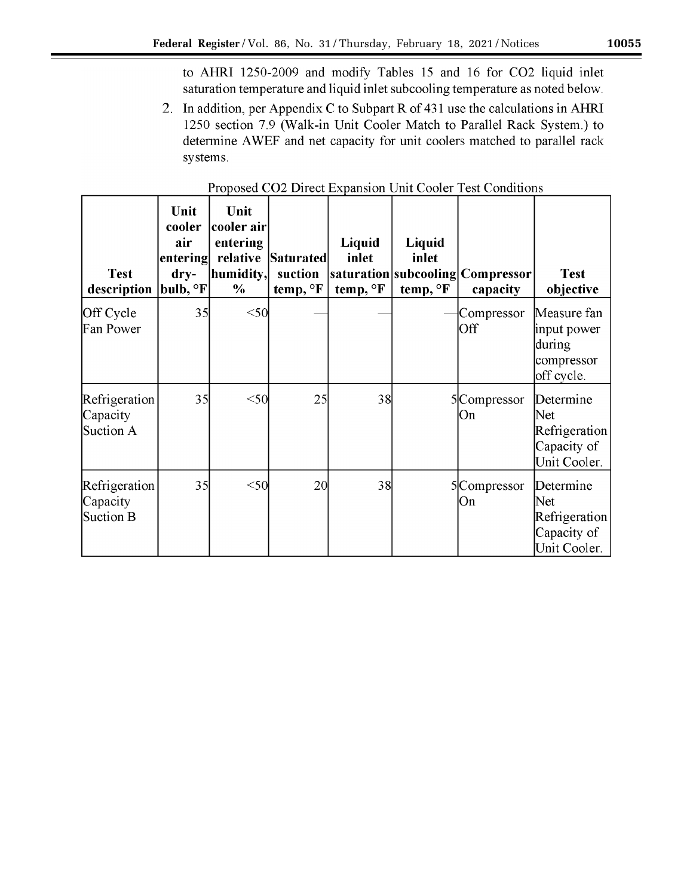to AHRI 1250-2009 and modify Tables 15 and 16 for CO2 liquid inlet saturation temperature and liquid inlet subcooling temperature as noted below.

2. In addition, per Appendix C to Subpart R of 431 use the calculations in AHRI 1250 section 7.9 (Walk-in Unit Cooler Match to Parallel Rack System.) to determine AWEF and net capacity for unit coolers matched to parallel rack systems.

| <b>Test</b><br>description             | Unit<br>cooler<br>air<br>entering<br>$\bf{dry}$<br>$ {\rm \bf bulb},{}^\circ{\rm F} $ | Unit<br>cooler air<br>entering<br>relative<br>humidity,<br>$\%$ | <b>Saturated</b><br>suction<br>temp, <sup>o</sup> F | Liquid<br>inlet<br>temp, <sup>o</sup> F | Liquid<br>inlet<br>temp, <sup>o</sup> F | saturation subcooling Compressor <br>capacity | <b>Test</b><br>objective                                         |
|----------------------------------------|---------------------------------------------------------------------------------------|-----------------------------------------------------------------|-----------------------------------------------------|-----------------------------------------|-----------------------------------------|-----------------------------------------------|------------------------------------------------------------------|
| Off Cycle<br>Fan Power                 | 35                                                                                    | $50$                                                            |                                                     |                                         |                                         | Compressor<br>Off                             | Measure fan<br>input power<br>during<br>compressor<br>off cycle. |
| Refrigeration<br>Capacity<br>Suction A | 35                                                                                    | $50$                                                            | 25                                                  | 38                                      |                                         | 5Compressor<br> On                            | Determine<br>Net<br>Refrigeration<br>Capacity of<br>Unit Cooler. |
| Refrigeration<br>Capacity<br>Suction B | 35                                                                                    | $50$                                                            | <b>20</b>                                           | 38                                      |                                         | 5Compressor<br> On                            | Determine<br>Net<br>Refrigeration<br>Capacity of<br>Unit Cooler. |

# Proposed CO2 Direct Expansion Unit Cooler Test Conditions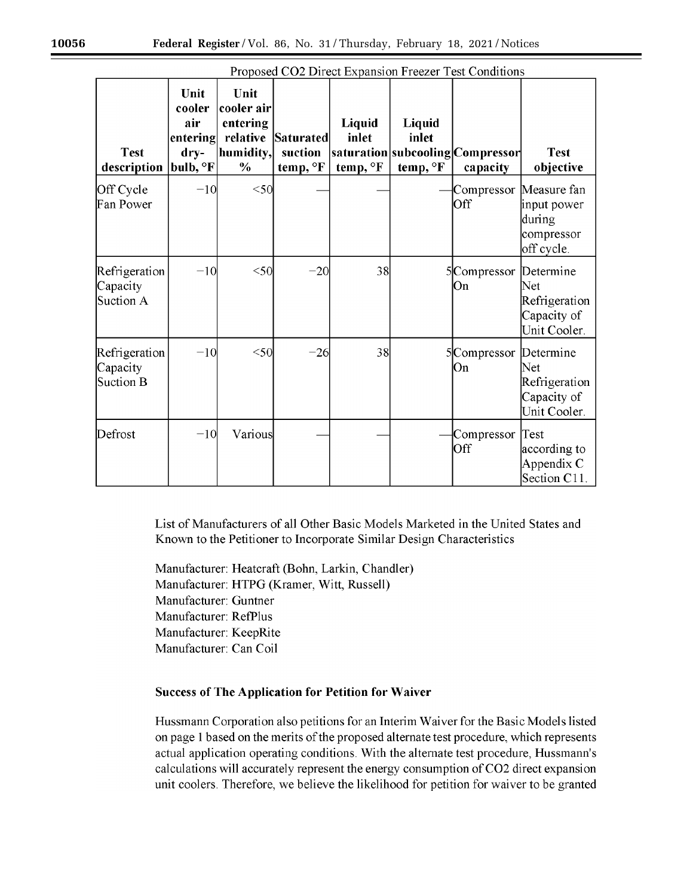| <b>Test</b><br>description             | Unit<br>cooler<br>air<br>entering<br>dry-<br>bulb, <sup>o</sup> F | Unit<br>cooler air<br>entering<br>relative<br>humidity,<br>$\frac{0}{0}$ | Saturated<br>suction<br>temp, °F | Liquid<br>inlet<br>temp, °F | Liquid<br>inlet<br>temp, °F | saturation subcooling Compressor <br>capacity | <b>Test</b><br>objective                                         |
|----------------------------------------|-------------------------------------------------------------------|--------------------------------------------------------------------------|----------------------------------|-----------------------------|-----------------------------|-----------------------------------------------|------------------------------------------------------------------|
| Off Cycle<br>Fan Power                 | $-10$                                                             | $50$                                                                     |                                  |                             |                             | Compressor Measure fan<br>Off                 | input power<br>during<br>compressor<br>off cycle.                |
| Refrigeration<br>Capacity<br>Suction A | $-10$                                                             | $<$ 50                                                                   | $-20$                            | 38                          |                             | 5Compressor<br>Юn                             | Determine<br>Net<br>Refrigeration<br>Capacity of<br>Unit Cooler. |
| Refrigeration<br>Capacity<br>Suction B | $-10$                                                             | $50$                                                                     | $-26$                            | 38                          |                             | 5 Compressor Determine<br>Юn                  | Net<br>Refrigeration<br>Capacity of<br>Unit Cooler.              |
| Defrost                                | $-10$                                                             | Various                                                                  |                                  |                             |                             | Compressor<br><b>Off</b>                      | Test<br>according to<br>Appendix C<br>Section C11                |

Proposed CO2 Direct Expansion Freezer Test Conditions

List of Manufacturers of all Other Basic Models Marketed in the United States and Known to the Petitioner to Incorporate Similar Design Characteristics

Manufacturer: Heatcraft (Bohn, Larkin, Chandler) Manufacturer: HTPG (Kramer, Witt, Russell) Manufacturer: Guntner Manufacturer: RefPlus Manufacturer: KeepRite Manufacturer: Can Coil

# **Success of The Application for Petition for Waiver**

Hussmann Corporation also petitions for an Interim Waiver for the Basic Models listed on page 1 based on the merits of the proposed alternate test procedure, which represents actual application operating conditions. With the alternate test procedure, Hussmann's calculations will accurately represent the energy consumption of CO2 direct expansion unit coolers. Therefore, we believe the likelihood for petition for waiver to be granted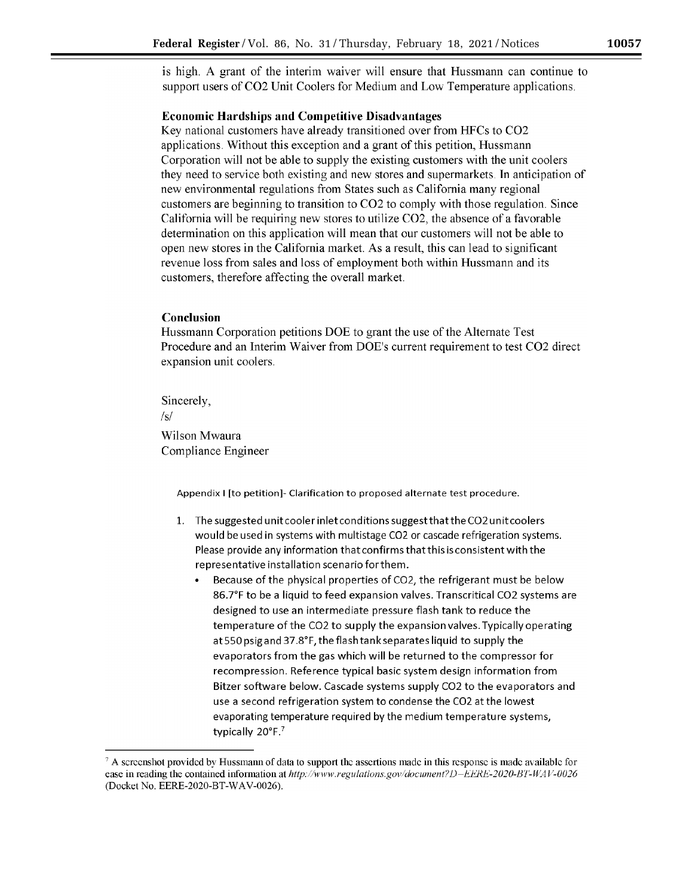is high. A grant of the interim waiver will ensure that Hussmann can continue to support users of CO2 Unit Coolers for Medium and Low Temperature applications.

## **Economic Hardships and Competitive Disadvantages**

Key national customers have already transitioned over from HFCs to CO2 applications. Without this exception and a grant of this petition, Hussmann Corporation will not be able to supply the existing customers with the unit coolers they need to service both existing and new stores and supermarkets. In anticipation of new environmental regulations from States such as California many regional customers are beginning to transition to CO2 to comply with those regulation. Since California will be requiring new stores to utilize CO2, the absence of a favorable determination on this application will mean that our customers will not be able to open new stores in the California market. As a result, this can lead to significant revenue loss from sales and loss of employment both within Hussmann and its customers, therefore affecting the overall market.

# Conclusion

Hussmann Corporation petitions DOE to grant the use of the Alternate Test Procedure and an Interim Waiver from DOE's current requirement to test CO2 direct expansion unit coolers.

Sincerely.

 $/s/$ 

Wilson Mwaura Compliance Engineer

Appendix I [to petition]- Clarification to proposed alternate test procedure.

- 1. The suggested unit cooler inlet conditions suggest that the CO2 unit coolers would be used in systems with multistage CO2 or cascade refrigeration systems. Please provide any information that confirms that this is consistent with the representative installation scenario for them.
	- Because of the physical properties of CO2, the refrigerant must be below 86.7°F to be a liquid to feed expansion valves. Transcritical CO2 systems are designed to use an intermediate pressure flash tank to reduce the temperature of the CO2 to supply the expansion valves. Typically operating at 550 psig and 37.8°F, the flash tank separates liquid to supply the evaporators from the gas which will be returned to the compressor for recompression. Reference typical basic system design information from Bitzer software below. Cascade systems supply CO2 to the evaporators and use a second refrigeration system to condense the CO2 at the lowest evaporating temperature required by the medium temperature systems, typically 20°F.<sup>7</sup>

 $\degree$  A screenshot provided by Hussmann of data to support the assertions made in this response is made available for ease in reading the contained information at http://www.regulations.gov/document?D-EERE-2020-BT-WAV-0026 (Docket No. EERE-2020-BT-WAV-0026).